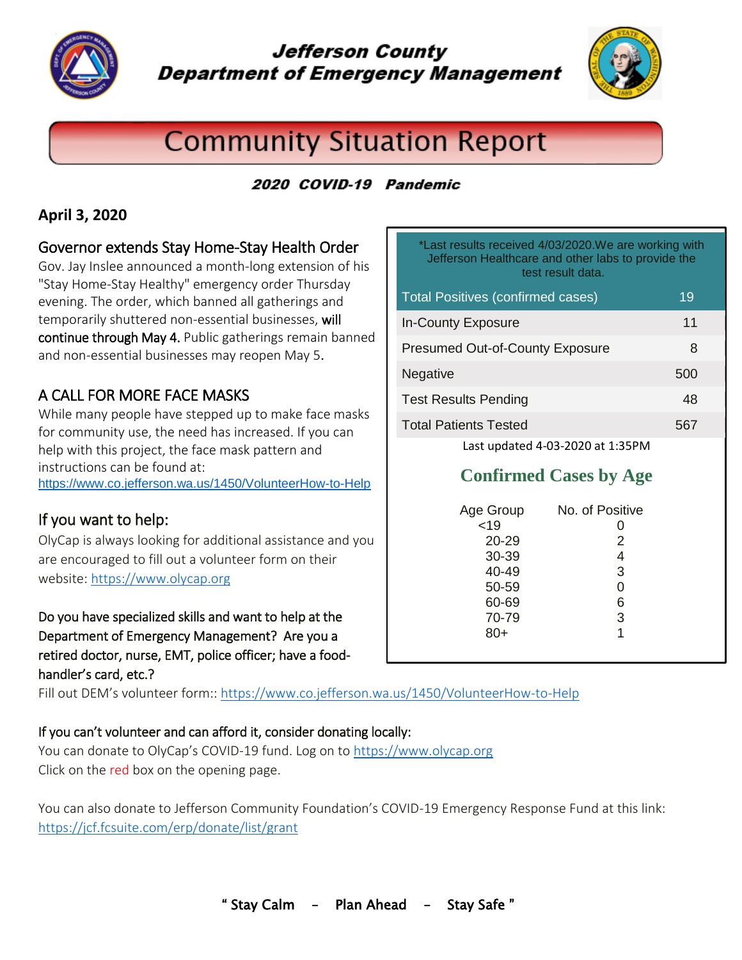

# **Jefferson County Department of Emergency Management**



# **Community Situation Report**

# 2020 COVID-19 Pandemic

### **April 3, 2020**

### Governor extends Stay Home-Stay Health Order

Gov. Jay Inslee announced a month-long extension of his ["Stay Home-Stay Healthy"](https://www.governor.wa.gov/sites/default/files/20-25.1%20-%20COVID-19%20-%20Stay%20Home%2C%20Stay%20Healthy%20Extension%20%28tmp%29.pdf?utm_medium=email&utm_source=govdelivery) emergency order Thursday evening. The order, which banned all gatherings and temporarily shuttered non-essential businesses, will continue through May 4. Public gatherings remain banned and non-essential businesses may reopen May 5.

## A CALL FOR MORE FACE MASKS

While many people have stepped up to make face masks for community use, the need has increased. If you can help with this project, the face mask pattern and instructions can be found at: <https://www.co.jefferson.wa.us/1450/VolunteerHow-to-Help>

## If you want to help:

OlyCap is always looking for additional assistance and you are encouraged to fill out a volunteer form on their website: [https://www.olycap.org](https://www.olycap.org/)

Do you have specialized skills and want to help at the Department of Emergency Management? Are you a retired doctor, nurse, EMT, police officer; have a foodhandler's card, etc.?

Fill out DEM's volunteer form::<https://www.co.jefferson.wa.us/1450/VolunteerHow-to-Help>

#### If you can't volunteer and can afford it, consider donating locally:

You can donate to OlyCap's COVID-19 fund. Log on t[o https://www.olycap.org](https://www.olycap.org/) Click on the red box on the opening page.

You can also donate to Jefferson Community Foundation's COVID-19 Emergency Response Fund at this link: [https://jcf.fcsuite.com/erp/donate/list/grant](https://app.smartsheet.com/b/home?mt=77b&lx=qNlyWBqzvff3eeClGx69fEFf2OVuWNp_fJRARoO15tk&wx=FZz5H1bGoFTsgrxRMcBTwdVYIFYWvY63nbHJAndqMFKUzNEPNdBJrfYdvu0V81ww)

| *Last results received 4/03/2020. We are working with<br>Jefferson Healthcare and other labs to provide the<br>test result data. |    |
|----------------------------------------------------------------------------------------------------------------------------------|----|
| <b>Total Positives (confirmed cases)</b>                                                                                         | 19 |

| <b>In-County Exposure</b>              | 11  |  |
|----------------------------------------|-----|--|
| <b>Presumed Out-of-County Exposure</b> | 8   |  |
| Negative                               | 500 |  |
| <b>Test Results Pending</b>            | 48  |  |
| <b>Total Patients Tested</b>           | 567 |  |
| Last updated 4-03-2020 at 1:35PM       |     |  |

# **Confirmed Cases by Age**

| Age Group | No. of Positive |
|-----------|-----------------|
| < 19      | 0               |
| 20-29     | $\overline{2}$  |
| 30-39     | 4               |
| 40-49     | 3               |
| 50-59     | 0               |
| 60-69     | 6               |
| 70-79     | 3               |
| 80+       | 1               |
|           |                 |
|           |                 |